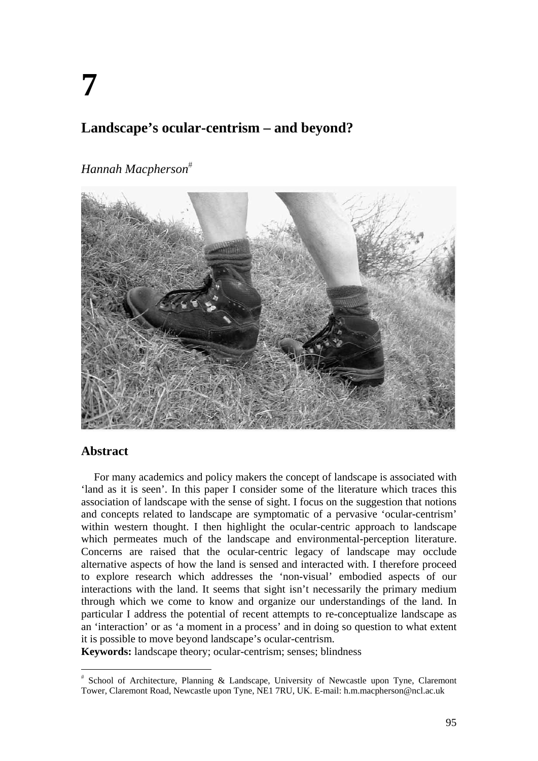# **Landscape's ocular-centrism – and beyond?**

# *Hannah Macpherson*



### **Abstract**

For many academics and policy makers the concept of landscape is associated with 'land as it is seen'. In this paper I consider some of the literature which traces this association of landscape with the sense of sight. I focus on the suggestion that notions and concepts related to landscape are symptomatic of a pervasive 'ocular-centrism' within western thought. I then highlight the ocular-centric approach to landscape which permeates much of the landscape and environmental-perception literature. Concerns are raised that the ocular-centric legacy of landscape may occlude alternative aspects of how the land is sensed and interacted with. I therefore proceed to explore research which addresses the 'non-visual' embodied aspects of our interactions with the land. It seems that sight isn't necessarily the primary medium through which we come to know and organize our understandings of the land. In particular I address the potential of recent attempts to re-conceptualize landscape as an 'interaction' or as 'a moment in a process' and in doing so question to what extent it is possible to move beyond landscape's ocular-centrism.

**Keywords:** landscape theory; ocular-centrism; senses; blindness

 School of Architecture, Planning & Landscape, University of Newcastle upon Tyne, Claremont Tower, Claremont Road, Newcastle upon Tyne, NE1 7RU, UK. E-mail: h.m.macpherson@ncl.ac.uk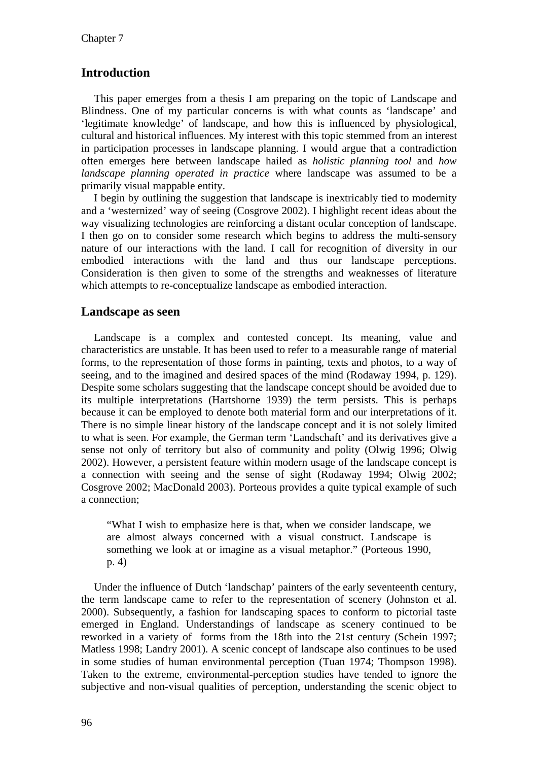## **Introduction**

This paper emerges from a thesis I am preparing on the topic of Landscape and Blindness. One of my particular concerns is with what counts as 'landscape' and 'legitimate knowledge' of landscape, and how this is influenced by physiological, cultural and historical influences. My interest with this topic stemmed from an interest in participation processes in landscape planning. I would argue that a contradiction often emerges here between landscape hailed as *holistic planning tool* and *how landscape planning operated in practice* where landscape was assumed to be a primarily visual mappable entity.

I begin by outlining the suggestion that landscape is inextricably tied to modernity and a 'westernized' way of seeing (Cosgrove 2002). I highlight recent ideas about the way visualizing technologies are reinforcing a distant ocular conception of landscape. I then go on to consider some research which begins to address the multi-sensory nature of our interactions with the land. I call for recognition of diversity in our embodied interactions with the land and thus our landscape perceptions. Consideration is then given to some of the strengths and weaknesses of literature which attempts to re-conceptualize landscape as embodied interaction.

#### **Landscape as seen**

Landscape is a complex and contested concept. Its meaning, value and characteristics are unstable. It has been used to refer to a measurable range of material forms, to the representation of those forms in painting, texts and photos, to a way of seeing, and to the imagined and desired spaces of the mind (Rodaway 1994, p. 129). Despite some scholars suggesting that the landscape concept should be avoided due to its multiple interpretations (Hartshorne 1939) the term persists. This is perhaps because it can be employed to denote both material form and our interpretations of it. There is no simple linear history of the landscape concept and it is not solely limited to what is seen. For example, the German term 'Landschaft' and its derivatives give a sense not only of territory but also of community and polity (Olwig 1996; Olwig 2002). However, a persistent feature within modern usage of the landscape concept is a connection with seeing and the sense of sight (Rodaway 1994; Olwig 2002; Cosgrove 2002; MacDonald 2003). Porteous provides a quite typical example of such a connection;

"What I wish to emphasize here is that, when we consider landscape, we are almost always concerned with a visual construct. Landscape is something we look at or imagine as a visual metaphor." (Porteous 1990, p. 4)

Under the influence of Dutch 'landschap' painters of the early seventeenth century, the term landscape came to refer to the representation of scenery (Johnston et al. 2000). Subsequently, a fashion for landscaping spaces to conform to pictorial taste emerged in England. Understandings of landscape as scenery continued to be reworked in a variety of forms from the 18th into the 21st century (Schein 1997; Matless 1998; Landry 2001). A scenic concept of landscape also continues to be used in some studies of human environmental perception (Tuan 1974; Thompson 1998). Taken to the extreme, environmental-perception studies have tended to ignore the subjective and non-visual qualities of perception, understanding the scenic object to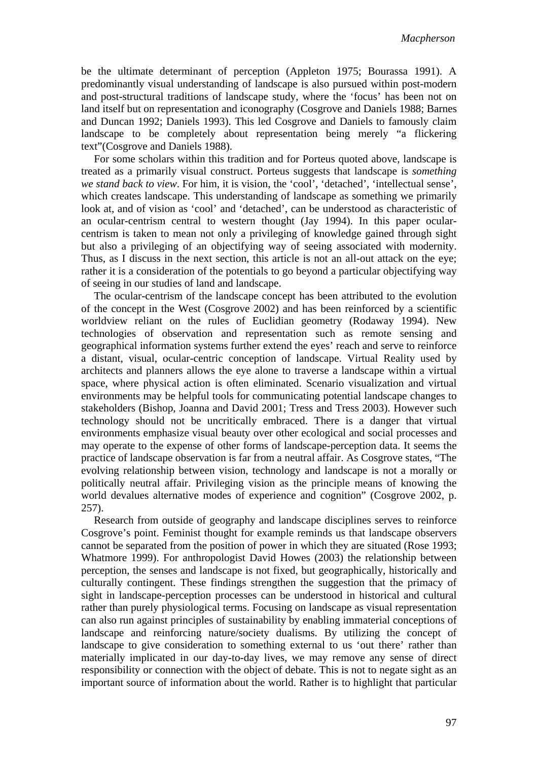be the ultimate determinant of perception (Appleton 1975; Bourassa 1991). A predominantly visual understanding of landscape is also pursued within post-modern and post-structural traditions of landscape study, where the 'focus' has been not on land itself but on representation and iconography (Cosgrove and Daniels 1988; Barnes and Duncan 1992; Daniels 1993). This led Cosgrove and Daniels to famously claim landscape to be completely about representation being merely "a flickering text"(Cosgrove and Daniels 1988).

For some scholars within this tradition and for Porteus quoted above, landscape is treated as a primarily visual construct. Porteus suggests that landscape is *something we stand back to view*. For him, it is vision, the 'cool', 'detached', 'intellectual sense', which creates landscape. This understanding of landscape as something we primarily look at, and of vision as 'cool' and 'detached', can be understood as characteristic of an ocular-centrism central to western thought (Jay 1994). In this paper ocularcentrism is taken to mean not only a privileging of knowledge gained through sight but also a privileging of an objectifying way of seeing associated with modernity. Thus, as I discuss in the next section, this article is not an all-out attack on the eye; rather it is a consideration of the potentials to go beyond a particular objectifying way of seeing in our studies of land and landscape.

The ocular-centrism of the landscape concept has been attributed to the evolution of the concept in the West (Cosgrove 2002) and has been reinforced by a scientific worldview reliant on the rules of Euclidian geometry (Rodaway 1994). New technologies of observation and representation such as remote sensing and geographical information systems further extend the eyes' reach and serve to reinforce a distant, visual, ocular-centric conception of landscape. Virtual Reality used by architects and planners allows the eye alone to traverse a landscape within a virtual space, where physical action is often eliminated. Scenario visualization and virtual environments may be helpful tools for communicating potential landscape changes to stakeholders (Bishop, Joanna and David 2001; Tress and Tress 2003). However such technology should not be uncritically embraced. There is a danger that virtual environments emphasize visual beauty over other ecological and social processes and may operate to the expense of other forms of landscape-perception data. It seems the practice of landscape observation is far from a neutral affair. As Cosgrove states, "The evolving relationship between vision, technology and landscape is not a morally or politically neutral affair. Privileging vision as the principle means of knowing the world devalues alternative modes of experience and cognition" (Cosgrove 2002, p. 257).

Research from outside of geography and landscape disciplines serves to reinforce Cosgrove's point. Feminist thought for example reminds us that landscape observers cannot be separated from the position of power in which they are situated (Rose 1993; Whatmore 1999). For anthropologist David Howes (2003) the relationship between perception, the senses and landscape is not fixed, but geographically, historically and culturally contingent. These findings strengthen the suggestion that the primacy of sight in landscape-perception processes can be understood in historical and cultural rather than purely physiological terms. Focusing on landscape as visual representation can also run against principles of sustainability by enabling immaterial conceptions of landscape and reinforcing nature/society dualisms. By utilizing the concept of landscape to give consideration to something external to us 'out there' rather than materially implicated in our day-to-day lives, we may remove any sense of direct responsibility or connection with the object of debate. This is not to negate sight as an important source of information about the world. Rather is to highlight that particular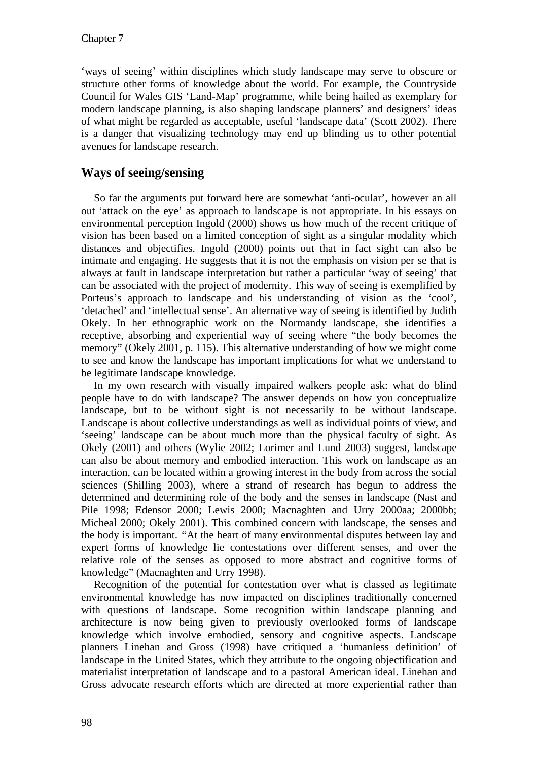'ways of seeing' within disciplines which study landscape may serve to obscure or structure other forms of knowledge about the world. For example, the Countryside Council for Wales GIS 'Land-Map' programme, while being hailed as exemplary for modern landscape planning, is also shaping landscape planners' and designers' ideas of what might be regarded as acceptable, useful 'landscape data' (Scott 2002). There is a danger that visualizing technology may end up blinding us to other potential avenues for landscape research.

### **Ways of seeing/sensing**

So far the arguments put forward here are somewhat 'anti-ocular', however an all out 'attack on the eye' as approach to landscape is not appropriate. In his essays on environmental perception Ingold (2000) shows us how much of the recent critique of vision has been based on a limited conception of sight as a singular modality which distances and objectifies. Ingold (2000) points out that in fact sight can also be intimate and engaging. He suggests that it is not the emphasis on vision per se that is always at fault in landscape interpretation but rather a particular 'way of seeing' that can be associated with the project of modernity. This way of seeing is exemplified by Porteus's approach to landscape and his understanding of vision as the 'cool', 'detached' and 'intellectual sense'. An alternative way of seeing is identified by Judith Okely. In her ethnographic work on the Normandy landscape, she identifies a receptive, absorbing and experiential way of seeing where "the body becomes the memory" (Okely 2001, p. 115). This alternative understanding of how we might come to see and know the landscape has important implications for what we understand to be legitimate landscape knowledge.

In my own research with visually impaired walkers people ask: what do blind people have to do with landscape? The answer depends on how you conceptualize landscape, but to be without sight is not necessarily to be without landscape. Landscape is about collective understandings as well as individual points of view, and 'seeing' landscape can be about much more than the physical faculty of sight. As Okely (2001) and others (Wylie 2002; Lorimer and Lund 2003) suggest, landscape can also be about memory and embodied interaction. This work on landscape as an interaction, can be located within a growing interest in the body from across the social sciences (Shilling 2003), where a strand of research has begun to address the determined and determining role of the body and the senses in landscape (Nast and Pile 1998; Edensor 2000; Lewis 2000; Macnaghten and Urry 2000aa; 2000bb; Micheal 2000; Okely 2001). This combined concern with landscape, the senses and the body is important. *"*At the heart of many environmental disputes between lay and expert forms of knowledge lie contestations over different senses, and over the relative role of the senses as opposed to more abstract and cognitive forms of knowledge" (Macnaghten and Urry 1998).

Recognition of the potential for contestation over what is classed as legitimate environmental knowledge has now impacted on disciplines traditionally concerned with questions of landscape. Some recognition within landscape planning and architecture is now being given to previously overlooked forms of landscape knowledge which involve embodied, sensory and cognitive aspects. Landscape planners Linehan and Gross (1998) have critiqued a 'humanless definition' of landscape in the United States, which they attribute to the ongoing objectification and materialist interpretation of landscape and to a pastoral American ideal. Linehan and Gross advocate research efforts which are directed at more experiential rather than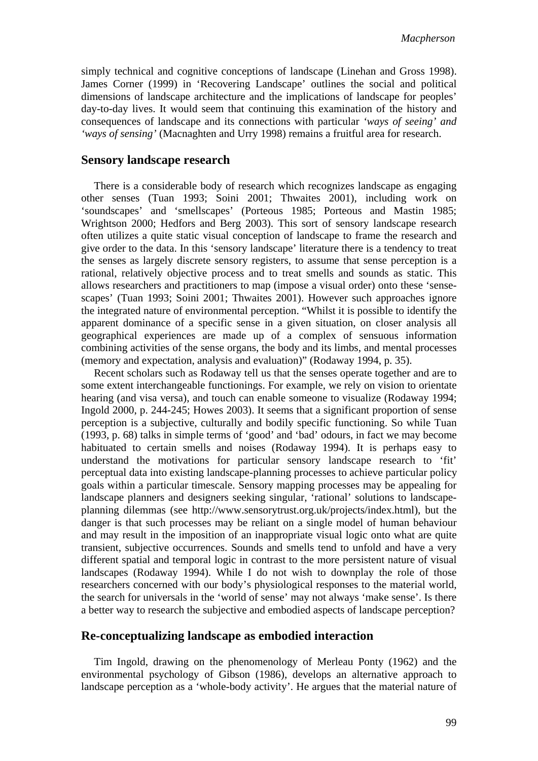simply technical and cognitive conceptions of landscape (Linehan and Gross 1998). James Corner (1999) in 'Recovering Landscape' outlines the social and political dimensions of landscape architecture and the implications of landscape for peoples' day-to-day lives. It would seem that continuing this examination of the history and consequences of landscape and its connections with particular *'ways of seeing' and 'ways of sensing'* (Macnaghten and Urry 1998) remains a fruitful area for research.

#### **Sensory landscape research**

There is a considerable body of research which recognizes landscape as engaging other senses (Tuan 1993; Soini 2001; Thwaites 2001), including work on 'soundscapes' and 'smellscapes' (Porteous 1985; Porteous and Mastin 1985; Wrightson 2000; Hedfors and Berg 2003). This sort of sensory landscape research often utilizes a quite static visual conception of landscape to frame the research and give order to the data. In this 'sensory landscape' literature there is a tendency to treat the senses as largely discrete sensory registers, to assume that sense perception is a rational, relatively objective process and to treat smells and sounds as static. This allows researchers and practitioners to map (impose a visual order) onto these 'sensescapes' (Tuan 1993; Soini 2001; Thwaites 2001). However such approaches ignore the integrated nature of environmental perception. "Whilst it is possible to identify the apparent dominance of a specific sense in a given situation, on closer analysis all geographical experiences are made up of a complex of sensuous information combining activities of the sense organs, the body and its limbs, and mental processes (memory and expectation, analysis and evaluation)" (Rodaway 1994, p. 35).

Recent scholars such as Rodaway tell us that the senses operate together and are to some extent interchangeable functionings. For example, we rely on vision to orientate hearing (and visa versa), and touch can enable someone to visualize (Rodaway 1994; Ingold 2000, p. 244-245; Howes 2003). It seems that a significant proportion of sense perception is a subjective, culturally and bodily specific functioning. So while Tuan (1993, p. 68) talks in simple terms of 'good' and 'bad' odours, in fact we may become habituated to certain smells and noises (Rodaway 1994). It is perhaps easy to understand the motivations for particular sensory landscape research to 'fit' perceptual data into existing landscape-planning processes to achieve particular policy goals within a particular timescale. Sensory mapping processes may be appealing for landscape planners and designers seeking singular, 'rational' solutions to landscapeplanning dilemmas (see http://www.sensorytrust.org.uk/projects/index.html), but the danger is that such processes may be reliant on a single model of human behaviour and may result in the imposition of an inappropriate visual logic onto what are quite transient, subjective occurrences. Sounds and smells tend to unfold and have a very different spatial and temporal logic in contrast to the more persistent nature of visual landscapes (Rodaway 1994). While I do not wish to downplay the role of those researchers concerned with our body's physiological responses to the material world, the search for universals in the 'world of sense' may not always 'make sense'. Is there a better way to research the subjective and embodied aspects of landscape perception?

#### **Re-conceptualizing landscape as embodied interaction**

Tim Ingold, drawing on the phenomenology of Merleau Ponty (1962) and the environmental psychology of Gibson (1986), develops an alternative approach to landscape perception as a 'whole-body activity'. He argues that the material nature of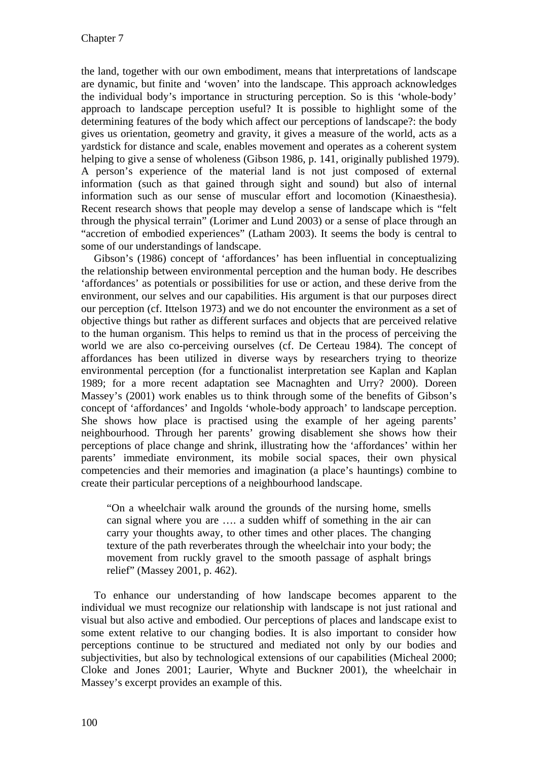the land, together with our own embodiment, means that interpretations of landscape are dynamic, but finite and 'woven' into the landscape. This approach acknowledges the individual body's importance in structuring perception. So is this 'whole-body' approach to landscape perception useful? It is possible to highlight some of the determining features of the body which affect our perceptions of landscape?: the body gives us orientation, geometry and gravity, it gives a measure of the world, acts as a yardstick for distance and scale, enables movement and operates as a coherent system helping to give a sense of wholeness (Gibson 1986, p. 141, originally published 1979). A person's experience of the material land is not just composed of external information (such as that gained through sight and sound) but also of internal information such as our sense of muscular effort and locomotion (Kinaesthesia). Recent research shows that people may develop a sense of landscape which is "felt through the physical terrain" (Lorimer and Lund 2003) or a sense of place through an "accretion of embodied experiences" (Latham 2003). It seems the body is central to some of our understandings of landscape.

Gibson's (1986) concept of 'affordances' has been influential in conceptualizing the relationship between environmental perception and the human body. He describes 'affordances' as potentials or possibilities for use or action, and these derive from the environment, our selves and our capabilities. His argument is that our purposes direct our perception (cf. Ittelson 1973) and we do not encounter the environment as a set of objective things but rather as different surfaces and objects that are perceived relative to the human organism. This helps to remind us that in the process of perceiving the world we are also co-perceiving ourselves (cf. De Certeau 1984). The concept of affordances has been utilized in diverse ways by researchers trying to theorize environmental perception (for a functionalist interpretation see Kaplan and Kaplan 1989; for a more recent adaptation see Macnaghten and Urry? 2000). Doreen Massey's (2001) work enables us to think through some of the benefits of Gibson's concept of 'affordances' and Ingolds 'whole-body approach' to landscape perception. She shows how place is practised using the example of her ageing parents' neighbourhood. Through her parents' growing disablement she shows how their perceptions of place change and shrink, illustrating how the 'affordances' within her parents' immediate environment, its mobile social spaces, their own physical competencies and their memories and imagination (a place's hauntings) combine to create their particular perceptions of a neighbourhood landscape.

"On a wheelchair walk around the grounds of the nursing home, smells can signal where you are …. a sudden whiff of something in the air can carry your thoughts away, to other times and other places. The changing texture of the path reverberates through the wheelchair into your body; the movement from ruckly gravel to the smooth passage of asphalt brings relief" (Massey 2001, p. 462).

To enhance our understanding of how landscape becomes apparent to the individual we must recognize our relationship with landscape is not just rational and visual but also active and embodied. Our perceptions of places and landscape exist to some extent relative to our changing bodies. It is also important to consider how perceptions continue to be structured and mediated not only by our bodies and subjectivities, but also by technological extensions of our capabilities (Micheal 2000; Cloke and Jones 2001; Laurier, Whyte and Buckner 2001), the wheelchair in Massey's excerpt provides an example of this.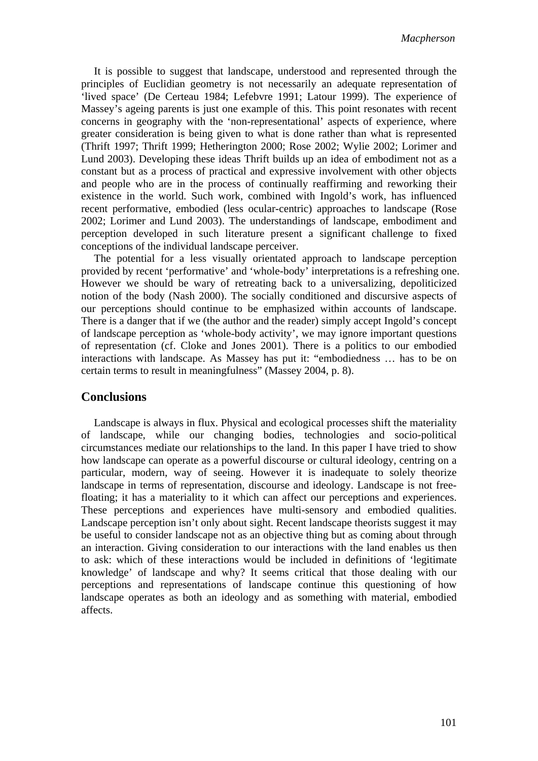It is possible to suggest that landscape, understood and represented through the principles of Euclidian geometry is not necessarily an adequate representation of 'lived space' (De Certeau 1984; Lefebvre 1991; Latour 1999). The experience of Massey's ageing parents is just one example of this. This point resonates with recent concerns in geography with the 'non-representational' aspects of experience, where greater consideration is being given to what is done rather than what is represented (Thrift 1997; Thrift 1999; Hetherington 2000; Rose 2002; Wylie 2002; Lorimer and Lund 2003). Developing these ideas Thrift builds up an idea of embodiment not as a constant but as a process of practical and expressive involvement with other objects and people who are in the process of continually reaffirming and reworking their existence in the world. Such work, combined with Ingold's work, has influenced recent performative, embodied (less ocular-centric) approaches to landscape (Rose 2002; Lorimer and Lund 2003). The understandings of landscape, embodiment and perception developed in such literature present a significant challenge to fixed conceptions of the individual landscape perceiver.

The potential for a less visually orientated approach to landscape perception provided by recent 'performative' and 'whole-body' interpretations is a refreshing one. However we should be wary of retreating back to a universalizing, depoliticized notion of the body (Nash 2000). The socially conditioned and discursive aspects of our perceptions should continue to be emphasized within accounts of landscape. There is a danger that if we (the author and the reader) simply accept Ingold's concept of landscape perception as 'whole-body activity', we may ignore important questions of representation (cf. Cloke and Jones 2001). There is a politics to our embodied interactions with landscape. As Massey has put it: "embodiedness … has to be on certain terms to result in meaningfulness" (Massey 2004, p. 8).

#### **Conclusions**

Landscape is always in flux. Physical and ecological processes shift the materiality of landscape, while our changing bodies, technologies and socio-political circumstances mediate our relationships to the land. In this paper I have tried to show how landscape can operate as a powerful discourse or cultural ideology, centring on a particular, modern, way of seeing. However it is inadequate to solely theorize landscape in terms of representation, discourse and ideology. Landscape is not freefloating; it has a materiality to it which can affect our perceptions and experiences. These perceptions and experiences have multi-sensory and embodied qualities. Landscape perception isn't only about sight. Recent landscape theorists suggest it may be useful to consider landscape not as an objective thing but as coming about through an interaction. Giving consideration to our interactions with the land enables us then to ask: which of these interactions would be included in definitions of 'legitimate knowledge' of landscape and why? It seems critical that those dealing with our perceptions and representations of landscape continue this questioning of how landscape operates as both an ideology and as something with material, embodied affects.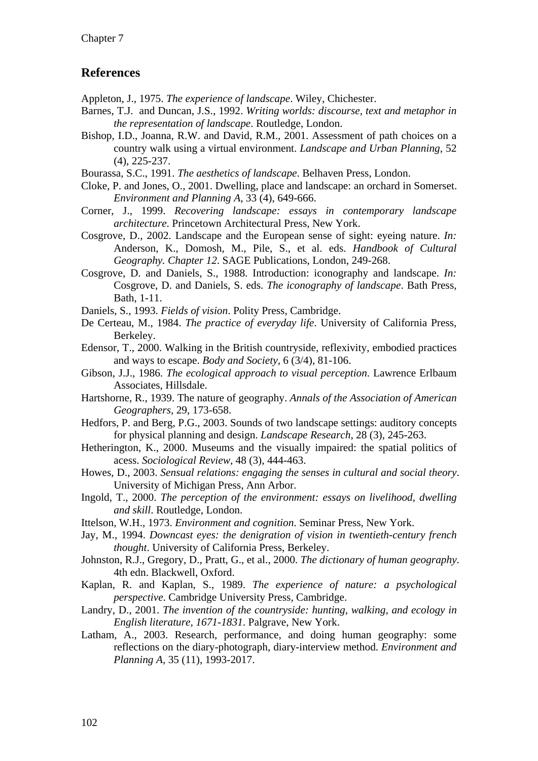### **References**

Appleton, J., 1975. *The experience of landscape*. Wiley, Chichester.

- Barnes, T.J. and Duncan, J.S., 1992. *Writing worlds: discourse, text and metaphor in the representation of landscape*. Routledge, London.
- Bishop, I.D., Joanna, R.W. and David, R.M., 2001. Assessment of path choices on a country walk using a virtual environment. *Landscape and Urban Planning,* 52 (4), 225-237.
- Bourassa, S.C., 1991. *The aesthetics of landscape*. Belhaven Press, London.
- Cloke, P. and Jones, O., 2001. Dwelling, place and landscape: an orchard in Somerset. *Environment and Planning A,* 33 (4), 649-666.
- Corner, J., 1999. *Recovering landscape: essays in contemporary landscape architecture*. Princetown Architectural Press, New York.
- Cosgrove, D., 2002. Landscape and the European sense of sight: eyeing nature. *In:* Anderson, K., Domosh, M., Pile, S., et al. eds. *Handbook of Cultural Geography. Chapter 12*. SAGE Publications, London, 249-268.
- Cosgrove, D. and Daniels, S., 1988. Introduction: iconography and landscape. *In:* Cosgrove, D. and Daniels, S. eds. *The iconography of landscape*. Bath Press, Bath, 1-11.
- Daniels, S., 1993. *Fields of vision*. Polity Press, Cambridge.
- De Certeau, M., 1984. *The practice of everyday life*. University of California Press, Berkeley.
- Edensor, T., 2000. Walking in the British countryside, reflexivity, embodied practices and ways to escape. *Body and Society,* 6 (3/4), 81-106.
- Gibson, J.J., 1986. *The ecological approach to visual perception*. Lawrence Erlbaum Associates, Hillsdale.
- Hartshorne, R., 1939. The nature of geography. *Annals of the Association of American Geographers,* 29, 173-658.
- Hedfors, P. and Berg, P.G., 2003. Sounds of two landscape settings: auditory concepts for physical planning and design. *Landscape Research,* 28 (3), 245-263.
- Hetherington, K., 2000. Museums and the visually impaired: the spatial politics of acess. *Sociological Review,* 48 (3), 444-463.
- Howes, D., 2003. *Sensual relations: engaging the senses in cultural and social theory*. University of Michigan Press, Ann Arbor.
- Ingold, T., 2000. *The perception of the environment: essays on livelihood, dwelling and skill*. Routledge, London.
- Ittelson, W.H., 1973. *Environment and cognition*. Seminar Press, New York.
- Jay, M., 1994. *Downcast eyes: the denigration of vision in twentieth-century french thought*. University of California Press, Berkeley.
- Johnston, R.J., Gregory, D., Pratt, G., et al., 2000. *The dictionary of human geography*. 4th edn. Blackwell, Oxford.
- Kaplan, R. and Kaplan, S., 1989. *The experience of nature: a psychological perspective*. Cambridge University Press, Cambridge.
- Landry, D., 2001. *The invention of the countryside: hunting, walking, and ecology in English literature, 1671-1831*. Palgrave, New York.
- Latham, A., 2003. Research, performance, and doing human geography: some reflections on the diary-photograph, diary-interview method. *Environment and Planning A,* 35 (11), 1993-2017.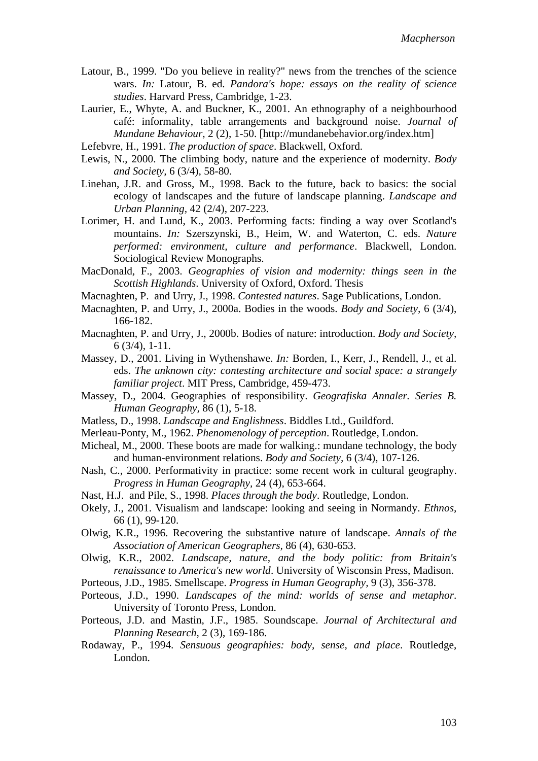- Latour, B., 1999. "Do you believe in reality?" news from the trenches of the science wars. *In:* Latour, B. ed. *Pandora's hope: essays on the reality of science studies*. Harvard Press, Cambridge, 1-23.
- Laurier, E., Whyte, A. and Buckner, K., 2001. An ethnography of a neighbourhood café: informality, table arrangements and background noise. *Journal of Mundane Behaviour,* 2 (2), 1-50. [http://mundanebehavior.org/index.htm]
- Lefebvre, H., 1991. *The production of space*. Blackwell, Oxford.
- Lewis, N., 2000. The climbing body, nature and the experience of modernity. *Body and Society,* 6 (3/4), 58-80.
- Linehan, J.R. and Gross, M., 1998. Back to the future, back to basics: the social ecology of landscapes and the future of landscape planning. *Landscape and Urban Planning,* 42 (2/4), 207-223.
- Lorimer, H. and Lund, K., 2003. Performing facts: finding a way over Scotland's mountains. *In:* Szerszynski, B., Heim, W. and Waterton, C. eds. *Nature performed: environment, culture and performance*. Blackwell, London. Sociological Review Monographs.
- MacDonald, F., 2003. *Geographies of vision and modernity: things seen in the Scottish Highlands*. University of Oxford, Oxford. Thesis
- Macnaghten, P. and Urry, J., 1998. *Contested natures*. Sage Publications, London.
- Macnaghten, P. and Urry, J., 2000a. Bodies in the woods. *Body and Society,* 6 (3/4), 166-182.
- Macnaghten, P. and Urry, J., 2000b. Bodies of nature: introduction. *Body and Society,* 6 (3/4), 1-11.
- Massey, D., 2001. Living in Wythenshawe. *In:* Borden, I., Kerr, J., Rendell, J., et al. eds. *The unknown city: contesting architecture and social space: a strangely familiar project*. MIT Press, Cambridge, 459-473.
- Massey, D., 2004. Geographies of responsibility. *Geografiska Annaler. Series B. Human Geography,* 86 (1), 5-18.
- Matless, D., 1998. *Landscape and Englishness*. Biddles Ltd., Guildford.
- Merleau-Ponty, M., 1962. *Phenomenology of perception*. Routledge, London.
- Micheal, M., 2000. These boots are made for walking.: mundane technology, the body and human-environment relations. *Body and Society,* 6 (3/4), 107-126.
- Nash, C., 2000. Performativity in practice: some recent work in cultural geography. *Progress in Human Geography,* 24 (4), 653-664.
- Nast, H.J. and Pile, S., 1998. *Places through the body*. Routledge, London.
- Okely, J., 2001. Visualism and landscape: looking and seeing in Normandy. *Ethnos,* 66 (1), 99-120.
- Olwig, K.R., 1996. Recovering the substantive nature of landscape. *Annals of the Association of American Geographers,* 86 (4), 630-653.
- Olwig, K.R., 2002. *Landscape, nature, and the body politic: from Britain's renaissance to America's new world*. University of Wisconsin Press, Madison.
- Porteous, J.D., 1985. Smellscape. *Progress in Human Geography,* 9 (3), 356-378.
- Porteous, J.D., 1990. *Landscapes of the mind: worlds of sense and metaphor*. University of Toronto Press, London.
- Porteous, J.D. and Mastin, J.F., 1985. Soundscape. *Journal of Architectural and Planning Research,* 2 (3), 169-186.
- Rodaway, P., 1994. *Sensuous geographies: body, sense, and place*. Routledge, London.